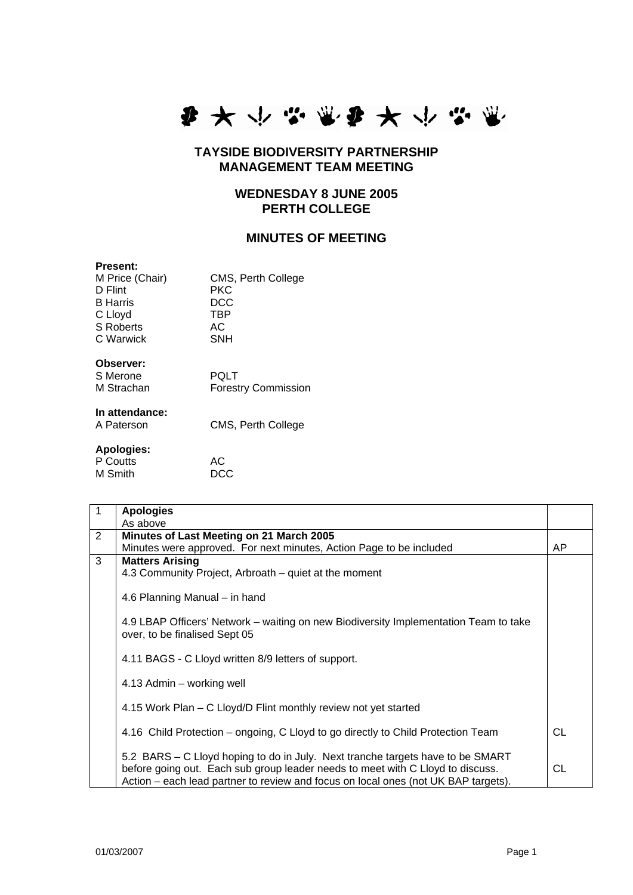

## **TAYSIDE BIODIVERSITY PARTNERSHIP MANAGEMENT TEAM MEETING**

## **WEDNESDAY 8 JUNE 2005 PERTH COLLEGE**

## **MINUTES OF MEETING**

#### **Present:**

| M Price (Chair)  | CMS, Perth College |
|------------------|--------------------|
| D Flint          | <b>PKC</b>         |
| <b>B</b> Harris  | DCC                |
| C Lloyd          | <b>TBP</b>         |
| <b>S</b> Roberts | AC                 |
| C Warwick        | <b>SNH</b>         |
|                  |                    |
| Observer:        |                    |

| S Merone   | <b>POLT</b>                |
|------------|----------------------------|
| M Strachan | <b>Forestry Commission</b> |

# **In attendance:**

# CMS, Perth College **Apologies:**

| Apologies: |     |
|------------|-----|
| P Coutts   | AC. |
| M Smith    | DCC |

| $\overline{1}$ | <b>Apologies</b>                                                                     |    |
|----------------|--------------------------------------------------------------------------------------|----|
|                | As above                                                                             |    |
| 2              | Minutes of Last Meeting on 21 March 2005                                             |    |
|                | Minutes were approved. For next minutes, Action Page to be included                  | AP |
| 3              | <b>Matters Arising</b>                                                               |    |
|                | 4.3 Community Project, Arbroath – quiet at the moment                                |    |
|                |                                                                                      |    |
|                | 4.6 Planning Manual – in hand                                                        |    |
|                |                                                                                      |    |
|                | 4.9 LBAP Officers' Network – waiting on new Biodiversity Implementation Team to take |    |
|                | over, to be finalised Sept 05                                                        |    |
|                |                                                                                      |    |
|                | 4.11 BAGS - C Lloyd written 8/9 letters of support.                                  |    |
|                |                                                                                      |    |
|                | 4.13 Admin – working well                                                            |    |
|                | 4.15 Work Plan – C Lloyd/D Flint monthly review not yet started                      |    |
|                |                                                                                      |    |
|                | 4.16 Child Protection – ongoing, C Lloyd to go directly to Child Protection Team     | CL |
|                |                                                                                      |    |
|                | 5.2 BARS – C Lloyd hoping to do in July. Next tranche targets have to be SMART       |    |
|                | before going out. Each sub group leader needs to meet with C Lloyd to discuss.       | СL |
|                | Action – each lead partner to review and focus on local ones (not UK BAP targets).   |    |
|                |                                                                                      |    |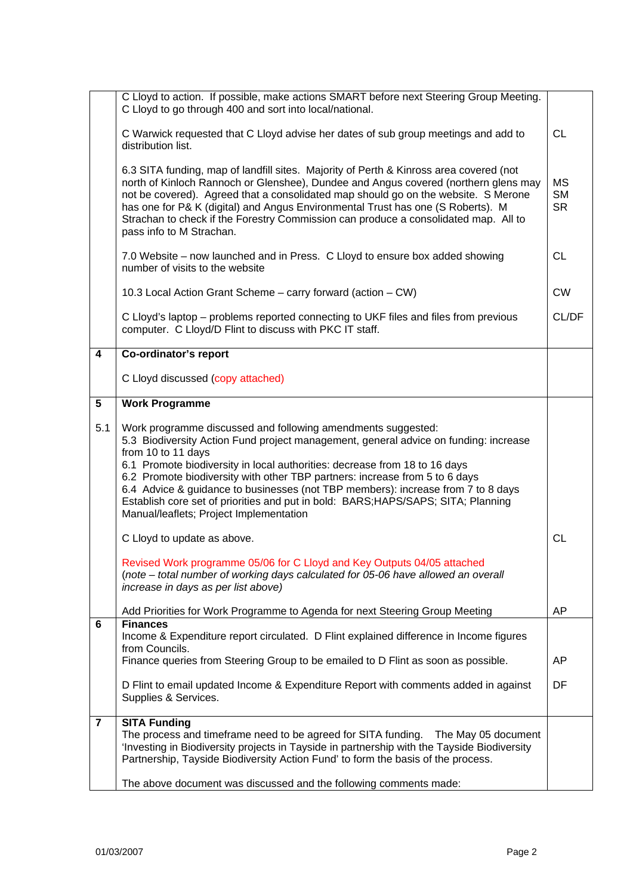|                 | C Lloyd to action. If possible, make actions SMART before next Steering Group Meeting.<br>C Lloyd to go through 400 and sort into local/national.                                                                                                                                                                                                                                                                                                                                                                                                           |                                     |
|-----------------|-------------------------------------------------------------------------------------------------------------------------------------------------------------------------------------------------------------------------------------------------------------------------------------------------------------------------------------------------------------------------------------------------------------------------------------------------------------------------------------------------------------------------------------------------------------|-------------------------------------|
|                 | C Warwick requested that C Lloyd advise her dates of sub group meetings and add to<br>distribution list.                                                                                                                                                                                                                                                                                                                                                                                                                                                    | <b>CL</b>                           |
|                 | 6.3 SITA funding, map of landfill sites. Majority of Perth & Kinross area covered (not<br>north of Kinloch Rannoch or Glenshee), Dundee and Angus covered (northern glens may<br>not be covered). Agreed that a consolidated map should go on the website. S Merone<br>has one for P& K (digital) and Angus Environmental Trust has one (S Roberts). M<br>Strachan to check if the Forestry Commission can produce a consolidated map. All to<br>pass info to M Strachan.                                                                                   | <b>MS</b><br><b>SM</b><br><b>SR</b> |
|                 | 7.0 Website - now launched and in Press. C Lloyd to ensure box added showing<br>number of visits to the website                                                                                                                                                                                                                                                                                                                                                                                                                                             | <b>CL</b>                           |
|                 | 10.3 Local Action Grant Scheme - carry forward (action - CW)                                                                                                                                                                                                                                                                                                                                                                                                                                                                                                | <b>CW</b>                           |
|                 | C Lloyd's laptop – problems reported connecting to UKF files and files from previous<br>computer. C Lloyd/D Flint to discuss with PKC IT staff.                                                                                                                                                                                                                                                                                                                                                                                                             | CL/DF                               |
| 4               | Co-ordinator's report                                                                                                                                                                                                                                                                                                                                                                                                                                                                                                                                       |                                     |
|                 | C Lloyd discussed (copy attached)                                                                                                                                                                                                                                                                                                                                                                                                                                                                                                                           |                                     |
| $5\phantom{.0}$ | <b>Work Programme</b>                                                                                                                                                                                                                                                                                                                                                                                                                                                                                                                                       |                                     |
| 5.1             | Work programme discussed and following amendments suggested:<br>5.3 Biodiversity Action Fund project management, general advice on funding: increase<br>from 10 to 11 days<br>6.1 Promote biodiversity in local authorities: decrease from 18 to 16 days<br>6.2 Promote biodiversity with other TBP partners: increase from 5 to 6 days<br>6.4 Advice & guidance to businesses (not TBP members): increase from 7 to 8 days<br>Establish core set of priorities and put in bold: BARS; HAPS/SAPS; SITA; Planning<br>Manual/leaflets; Project Implementation |                                     |
|                 | C Lloyd to update as above.                                                                                                                                                                                                                                                                                                                                                                                                                                                                                                                                 | <b>CL</b>                           |
|                 | Revised Work programme 05/06 for C Lloyd and Key Outputs 04/05 attached<br>(note - total number of working days calculated for 05-06 have allowed an overall<br>increase in days as per list above)                                                                                                                                                                                                                                                                                                                                                         |                                     |
|                 | Add Priorities for Work Programme to Agenda for next Steering Group Meeting                                                                                                                                                                                                                                                                                                                                                                                                                                                                                 | AP                                  |
| 6               | <b>Finances</b><br>Income & Expenditure report circulated. D Flint explained difference in Income figures<br>from Councils.                                                                                                                                                                                                                                                                                                                                                                                                                                 |                                     |
|                 | Finance queries from Steering Group to be emailed to D Flint as soon as possible.                                                                                                                                                                                                                                                                                                                                                                                                                                                                           | AP                                  |
|                 | D Flint to email updated Income & Expenditure Report with comments added in against<br>Supplies & Services.                                                                                                                                                                                                                                                                                                                                                                                                                                                 | DF                                  |
| $\overline{7}$  | <b>SITA Funding</b><br>The process and timeframe need to be agreed for SITA funding.<br>The May 05 document<br>'Investing in Biodiversity projects in Tayside in partnership with the Tayside Biodiversity<br>Partnership, Tayside Biodiversity Action Fund' to form the basis of the process.<br>The above document was discussed and the following comments made:                                                                                                                                                                                         |                                     |
|                 |                                                                                                                                                                                                                                                                                                                                                                                                                                                                                                                                                             |                                     |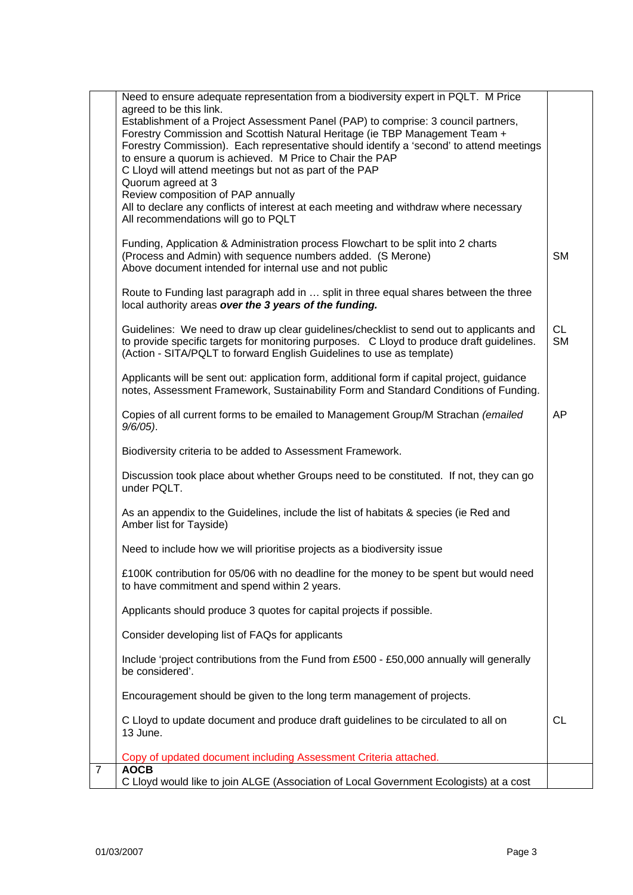|                | Need to ensure adequate representation from a biodiversity expert in PQLT. M Price<br>agreed to be this link.                                                                       |           |
|----------------|-------------------------------------------------------------------------------------------------------------------------------------------------------------------------------------|-----------|
|                | Establishment of a Project Assessment Panel (PAP) to comprise: 3 council partners,                                                                                                  |           |
|                | Forestry Commission and Scottish Natural Heritage (ie TBP Management Team +<br>Forestry Commission). Each representative should identify a 'second' to attend meetings              |           |
|                | to ensure a quorum is achieved. M Price to Chair the PAP                                                                                                                            |           |
|                | C Lloyd will attend meetings but not as part of the PAP<br>Quorum agreed at 3                                                                                                       |           |
|                | Review composition of PAP annually                                                                                                                                                  |           |
|                | All to declare any conflicts of interest at each meeting and withdraw where necessary<br>All recommendations will go to PQLT                                                        |           |
|                | Funding, Application & Administration process Flowchart to be split into 2 charts                                                                                                   |           |
|                | (Process and Admin) with sequence numbers added. (S Merone)<br>Above document intended for internal use and not public                                                              | <b>SM</b> |
|                |                                                                                                                                                                                     |           |
|                | Route to Funding last paragraph add in  split in three equal shares between the three<br>local authority areas over the 3 years of the funding.                                     |           |
|                | Guidelines: We need to draw up clear guidelines/checklist to send out to applicants and                                                                                             | <b>CL</b> |
|                | to provide specific targets for monitoring purposes. C Lloyd to produce draft guidelines.<br>(Action - SITA/PQLT to forward English Guidelines to use as template)                  | <b>SM</b> |
|                | Applicants will be sent out: application form, additional form if capital project, guidance<br>notes, Assessment Framework, Sustainability Form and Standard Conditions of Funding. |           |
|                | Copies of all current forms to be emailed to Management Group/M Strachan (emailed<br>$9/6/05$ ).                                                                                    | AP        |
|                | Biodiversity criteria to be added to Assessment Framework.                                                                                                                          |           |
|                | Discussion took place about whether Groups need to be constituted. If not, they can go<br>under PQLT.                                                                               |           |
|                | As an appendix to the Guidelines, include the list of habitats & species (ie Red and<br>Amber list for Tayside)                                                                     |           |
|                | Need to include how we will prioritise projects as a biodiversity issue                                                                                                             |           |
|                | £100K contribution for 05/06 with no deadline for the money to be spent but would need<br>to have commitment and spend within 2 years.                                              |           |
|                | Applicants should produce 3 quotes for capital projects if possible.                                                                                                                |           |
|                | Consider developing list of FAQs for applicants                                                                                                                                     |           |
|                | Include 'project contributions from the Fund from £500 - £50,000 annually will generally<br>be considered'.                                                                         |           |
|                | Encouragement should be given to the long term management of projects.                                                                                                              |           |
|                | C Lloyd to update document and produce draft guidelines to be circulated to all on<br>13 June.                                                                                      | <b>CL</b> |
|                | Copy of updated document including Assessment Criteria attached.                                                                                                                    |           |
| $\overline{7}$ | <b>AOCB</b><br>C Lloyd would like to join ALGE (Association of Local Government Ecologists) at a cost                                                                               |           |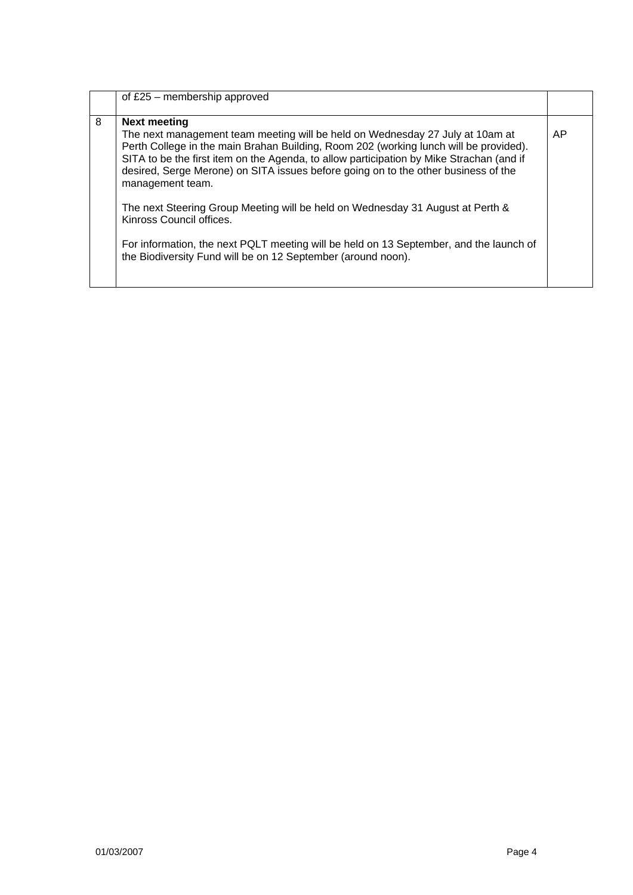|   | of $£25$ – membership approved                                                                                                                                                                                                                                                                                                                                                                                                                                                                                                                                                                                                                                              |    |
|---|-----------------------------------------------------------------------------------------------------------------------------------------------------------------------------------------------------------------------------------------------------------------------------------------------------------------------------------------------------------------------------------------------------------------------------------------------------------------------------------------------------------------------------------------------------------------------------------------------------------------------------------------------------------------------------|----|
| 8 | <b>Next meeting</b><br>The next management team meeting will be held on Wednesday 27 July at 10am at<br>Perth College in the main Brahan Building, Room 202 (working lunch will be provided).<br>SITA to be the first item on the Agenda, to allow participation by Mike Strachan (and if<br>desired, Serge Merone) on SITA issues before going on to the other business of the<br>management team.<br>The next Steering Group Meeting will be held on Wednesday 31 August at Perth &<br>Kinross Council offices.<br>For information, the next PQLT meeting will be held on 13 September, and the launch of<br>the Biodiversity Fund will be on 12 September (around noon). | AP |